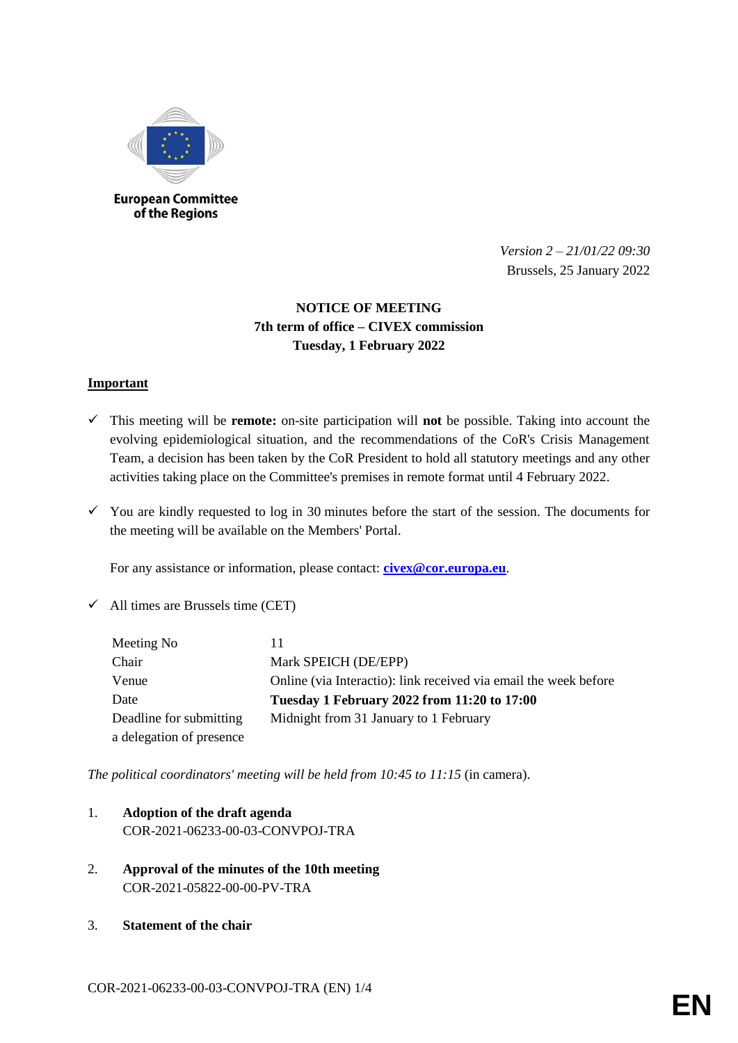

**European Committee** of the Regions

> *Version 2 – 21/01/22 09:30* Brussels, 25 January 2022

# **NOTICE OF MEETING 7th term of office – CIVEX commission Tuesday, 1 February 2022**

## **Important**

- This meeting will be **remote:** on-site participation will **not** be possible. Taking into account the evolving epidemiological situation, and the recommendations of the CoR's Crisis Management Team, a decision has been taken by the CoR President to hold all statutory meetings and any other activities taking place on the Committee's premises in remote format until 4 February 2022.
- $\checkmark$  You are kindly requested to log in 30 minutes before the start of the session. The documents for the meeting will be available on the Members' Portal.

For any assistance or information, please contact: **[civex@cor.europa.eu](mailto:civex@cor.europa.eu)**.

 $\checkmark$  All times are Brussels time (CET)

| Meeting No               | 11                                                               |
|--------------------------|------------------------------------------------------------------|
| Chair                    | Mark SPEICH (DE/EPP)                                             |
| Venue                    | Online (via Interactio): link received via email the week before |
| Date                     | Tuesday 1 February 2022 from 11:20 to 17:00                      |
| Deadline for submitting  | Midnight from 31 January to 1 February                           |
| a delegation of presence |                                                                  |

*The political coordinators' meeting will be held from 10:45 to 11:15* (in camera).

- 1. **Adoption of the draft agenda**
	- COR-2021-06233-00-03-CONVPOJ-TRA
- 2. **Approval of the minutes of the 10th meeting** COR-2021-05822-00-00-PV-TRA
- 3. **Statement of the chair**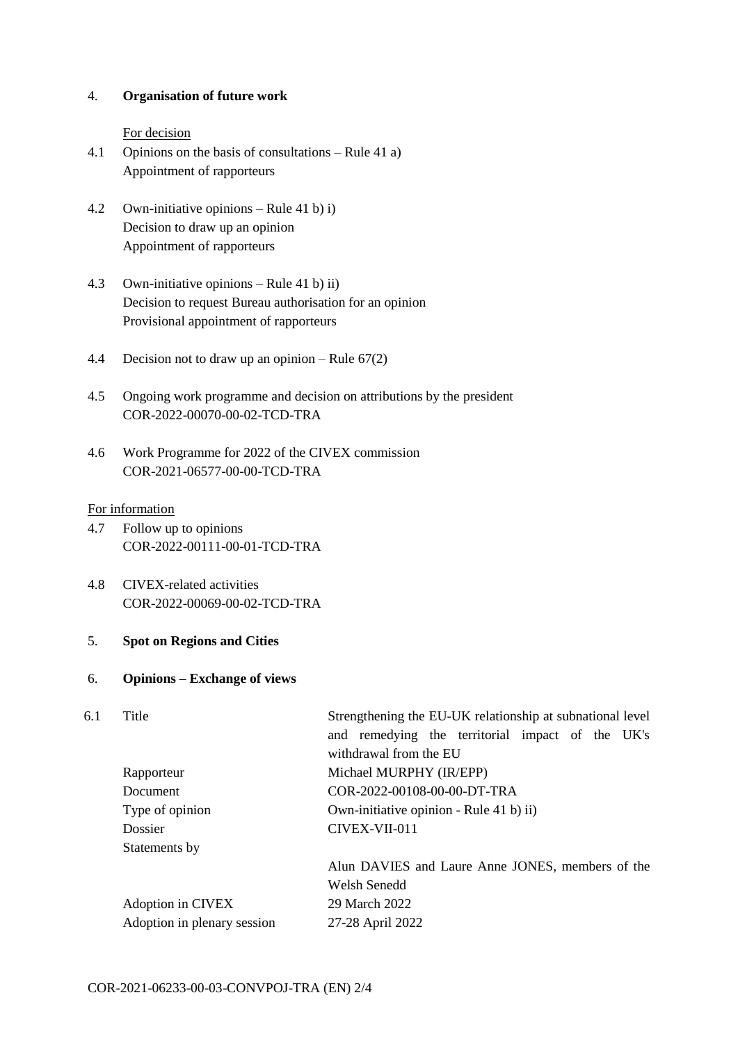## 4. **Organisation of future work**

#### For decision

- 4.1 Opinions on the basis of consultations Rule 41 a) Appointment of rapporteurs
- 4.2 Own-initiative opinions Rule 41 b) i) Decision to draw up an opinion Appointment of rapporteurs
- 4.3 Own-initiative opinions Rule 41 b) ii) Decision to request Bureau authorisation for an opinion Provisional appointment of rapporteurs
- 4.4 Decision not to draw up an opinion Rule 67(2)
- 4.5 Ongoing work programme and decision on attributions by the president COR-2022-00070-00-02-TCD-TRA
- 4.6 Work Programme for 2022 of the CIVEX commission COR-2021-06577-00-00-TCD-TRA

## For information

- 4.7 Follow up to opinions COR-2022-00111-00-01-TCD-TRA
- 4.8 CIVEX-related activities COR-2022-00069-00-02-TCD-TRA
- 5. **Spot on Regions and Cities**

#### 6. **Opinions – Exchange of views**

| Title                       | Strengthening the EU-UK relationship at subnational level |  |
|-----------------------------|-----------------------------------------------------------|--|
|                             | and remedying the territorial impact of the UK's          |  |
|                             | withdrawal from the EU                                    |  |
| Rapporteur                  | Michael MURPHY (IR/EPP)                                   |  |
| Document                    | COR-2022-00108-00-00-DT-TRA                               |  |
| Type of opinion             | Own-initiative opinion - Rule 41 b) ii)                   |  |
| Dossier                     | CIVEX-VII-011                                             |  |
| Statements by               |                                                           |  |
|                             | Alun DAVIES and Laure Anne JONES, members of the          |  |
|                             | Welsh Senedd                                              |  |
| Adoption in CIVEX           | 29 March 2022                                             |  |
| Adoption in plenary session | 27-28 April 2022                                          |  |
|                             |                                                           |  |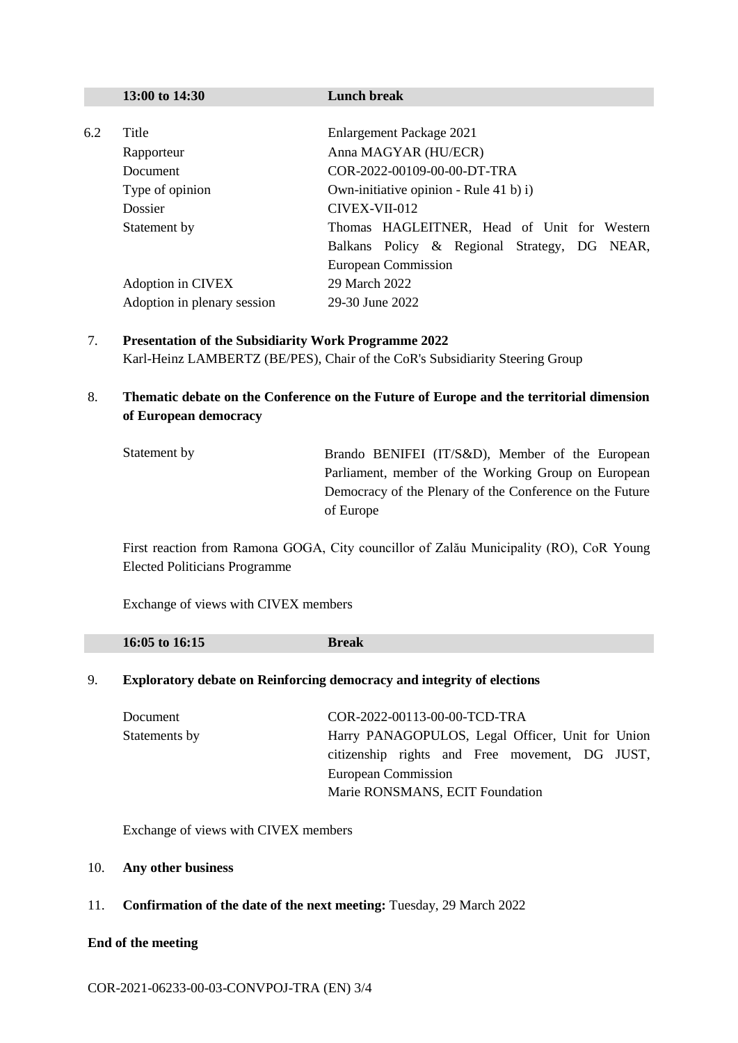|                                           | 13:00 to 14:30                         | <b>Lunch break</b>                           |  |  |
|-------------------------------------------|----------------------------------------|----------------------------------------------|--|--|
|                                           |                                        |                                              |  |  |
| 6.2                                       | Title                                  | Enlargement Package 2021                     |  |  |
| Rapporteur<br>Document<br>Type of opinion |                                        | Anna MAGYAR (HU/ECR)                         |  |  |
|                                           |                                        | COR-2022-00109-00-00-DT-TRA                  |  |  |
|                                           | Own-initiative opinion - Rule 41 b) i) |                                              |  |  |
|                                           | Dossier                                | CIVEX-VII-012                                |  |  |
|                                           | Statement by                           | Thomas HAGLEITNER, Head of Unit for Western  |  |  |
|                                           |                                        | Balkans Policy & Regional Strategy, DG NEAR, |  |  |
|                                           |                                        | European Commission                          |  |  |
|                                           | Adoption in CIVEX                      | 29 March 2022                                |  |  |
|                                           | Adoption in plenary session            | 29-30 June 2022                              |  |  |

- 7. **Presentation of the Subsidiarity Work Programme 2022** Karl-Heinz LAMBERTZ (BE/PES), Chair of the CoR's Subsidiarity Steering Group
- 8. **Thematic debate on the Conference on the Future of Europe and the territorial dimension of European democracy**

| Statement by | Brando BENIFEI (IT/S&D), Member of the European          |
|--------------|----------------------------------------------------------|
|              | Parliament, member of the Working Group on European      |
|              | Democracy of the Plenary of the Conference on the Future |
|              | of Europe                                                |

First reaction from Ramona GOGA, City councillor of Zalău Municipality (RO), CoR Young Elected Politicians Programme

Exchange of views with CIVEX members

| 16:05 to 16:15 | caĸ |  |
|----------------|-----|--|
|                |     |  |

## 9. **Exploratory debate on Reinforcing democracy and integrity of elections**

| Document      | COR-2022-00113-00-00-TCD-TRA                     |
|---------------|--------------------------------------------------|
| Statements by | Harry PANAGOPULOS, Legal Officer, Unit for Union |
|               | citizenship rights and Free movement, DG JUST,   |
|               | European Commission                              |
|               | Marie RONSMANS, ECIT Foundation                  |

Exchange of views with CIVEX members

#### 10. **Any other business**

11. **Confirmation of the date of the next meeting:** Tuesday, 29 March 2022

# **End of the meeting**